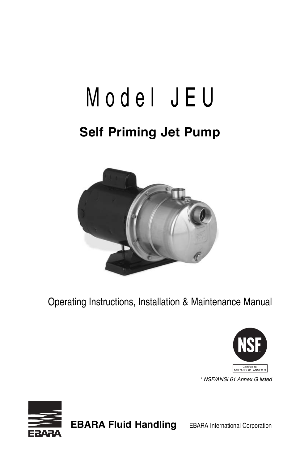# M o d e l J E U

## **Self Priming Jet Pump**



Operating Instructions, Installation & Maintenance Manual



\* NSF/ANSI 61 Annex G listed



**EBARA Fluid Handling** EBARA International Corporation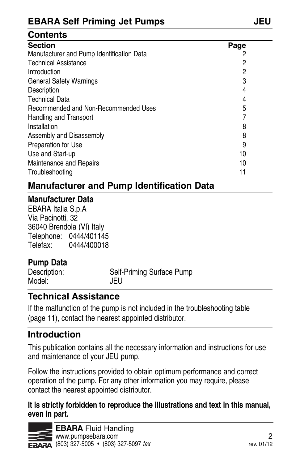#### **Contents**

| <b>Section</b>                            | Page |  |
|-------------------------------------------|------|--|
| Manufacturer and Pump Identification Data | 2    |  |
| <b>Technical Assistance</b>               | 2    |  |
| Introduction                              | 2    |  |
| <b>General Safety Warnings</b>            | 3    |  |
| Description                               | 4    |  |
| <b>Technical Data</b>                     | 4    |  |
| Recommended and Non-Recommended Uses      | 5    |  |
| Handling and Transport                    |      |  |
| Installation                              | 8    |  |
| Assembly and Disassembly                  | 8    |  |
| Preparation for Use                       | 9    |  |
| Use and Start-up                          | 10   |  |
| Maintenance and Repairs                   | 10   |  |
| Troubleshooting                           | 11   |  |

#### **Manufacturer and Pump Identification Data**

#### **Manufacturer Data**

EBARA Italia S.p.A Via Pacinotti, 32 36040 Brendola (VI) Italy Telephone: 0444/401145 Telefax: 0444/400018

#### **Pump Data**

| Description: | Self-Priming Surface Pump |
|--------------|---------------------------|
| Model:       | JEU                       |

#### **Technical assistance**

If the malfunction of the pump is not included in the troubleshooting table (page 11), contact the nearest appointed distributor.

#### **Introduction**

This publication contains all the necessary information and instructions for use and maintenance of your JEU pump.

Follow the instructions provided to obtain optimum performance and correct operation of the pump. For any other information you may require, please contact the nearest appointed distributor.

#### **It is strictly forbidden to reproduce the illustrations and text in this manual, even in part.**

**EBARA** Fluid Handling **WWW.pumpsebara.com** 2  $F \rightarrow 47$  (803) 327-5005 • (803) 327-5097 fax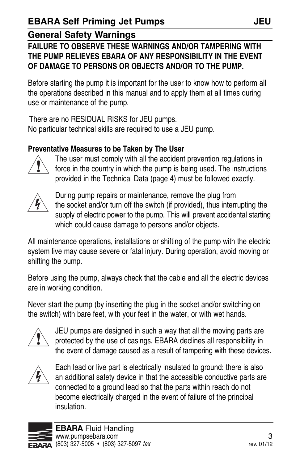#### **FAILURE TO OBSERVE THESE WARNINGS AND/OR TAMPERING WITH THE PUMP RELIEVES EBARA OF ANY RESPONSIBILITY IN THE EVENT OF DAMAGE TO PERSONS OR OBJECTS AND/OR TO THE PUMP.**

before starting the pump it is important for the user to know how to perform all the operations described in this manual and to apply them at all times during use or maintenance of the pump.

There are no RESIDUAL RISKS for JEU pumps. No particular technical skills are required to use a JEU pump.

#### **Preventative Measures to be Taken by The User**



The user must comply with all the accident prevention regulations in force in the country in which the pump is being used. The instructions provided in the Technical Data (page 4) must be followed exactly.



During pump repairs or maintenance, remove the plug from the socket and/or turn off the switch (if provided), thus interrupting the supply of electric power to the pump. This will prevent accidental starting which could cause damage to persons and/or objects.

all maintenance operations, installations or shifting of the pump with the electric system live may cause severe or fatal injury. During operation, avoid moving or shifting the pump.

before using the pump, always check that the cable and all the electric devices are in working condition.

Never start the pump (by inserting the plug in the socket and/or switching on the switch) with bare feet, with your feet in the water, or with wet hands.



JEU pumps are designed in such a way that all the moving parts are protected by the use of casings. EBARA declines all responsibility in the event of damage caused as a result of tampering with these devices.



Each lead or live part is electrically insulated to ground: there is also an additional safety device in that the accessible conductive parts are connected to a ground lead so that the parts within reach do not become electrically charged in the event of failure of the principal insulation.

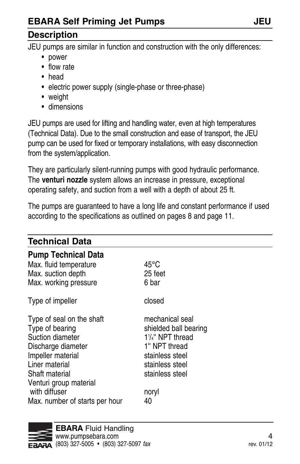#### **Description**

JEU pumps are similar in function and construction with the only differences:

- power
- flow rate
- head
- electric power supply (single-phase or three-phase)
- weight
- dimensions

JEU pumps are used for lifting and handling water, even at high temperatures (Technical Data). Due to the small construction and ease of transport, the JEU pump can be used for fixed or temporary installations, with easy disconnection from the system/application.

They are particularly silent-running pumps with good hydraulic performance. The **venturi nozzle** system allows an increase in pressure, exceptional operating safety, and suction from a well with a depth of about 25 ft.

The pumps are guaranteed to have a long life and constant performance if used according to the specifications as outlined on pages 8 and page 11.

| <b>Technical Data</b>                                                                                                                                                                                                        |                                                                                                                                                                  |
|------------------------------------------------------------------------------------------------------------------------------------------------------------------------------------------------------------------------------|------------------------------------------------------------------------------------------------------------------------------------------------------------------|
| <b>Pump Technical Data</b><br>Max. fluid temperature<br>Max. suction depth<br>Max. working pressure                                                                                                                          | $45^{\circ}$ C<br>25 feet<br>6 bar                                                                                                                               |
| Type of impeller                                                                                                                                                                                                             | closed                                                                                                                                                           |
| Type of seal on the shaft<br>Type of bearing<br>Suction diameter<br>Discharge diameter<br>Impeller material<br>Liner material<br>Shaft material<br>Venturi group material<br>with diffuser<br>Max. number of starts per hour | mechanical seal<br>shielded ball bearing<br>$1\frac{1}{4}$ " NPT thread<br>1" NPT thread<br>stainless steel<br>stainless steel<br>stainless steel<br>noryl<br>40 |

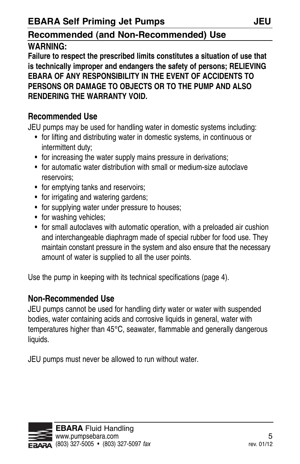#### **Recommended (and Non-Recommended) Use**

#### **WARNING:**

**Failure to respect the prescribed limits constitutes a situation of use that is technically improper and endangers the safety of persons; RELIEVING EBARA OF ANY RESPONSIBILITY IN THE EVENT OF ACCIDENTS TO PERSONS OR DAMAGE TO OBJECTS OR TO THE PUMP AND ALSO RENDERING THE WARRANTY VOID.** 

#### **Recommended Use**

JEU pumps may be used for handling water in domestic systems including:

- for lifting and distributing water in domestic systems, in continuous or intermittent duty;
- for increasing the water supply mains pressure in derivations;
- for automatic water distribution with small or medium-size autoclave reservoirs;
- for emptying tanks and reservoirs;
- for irrigating and watering gardens:
- for supplying water under pressure to houses;
- for washing vehicles;
- for small autoclaves with automatic operation, with a preloaded air cushion and interchangeable diaphragm made of special rubber for food use. They maintain constant pressure in the system and also ensure that the necessary amount of water is supplied to all the user points.

Use the pump in keeping with its technical specifications (page 4).

#### **Non-Recommended Use**

JEU pumps cannot be used for handling dirty water or water with suspended bodies, water containing acids and corrosive liquids in general, water with temperatures higher than 45°C, seawater, flammable and generally dangerous liquids.

JEU pumps must never be allowed to run without water.

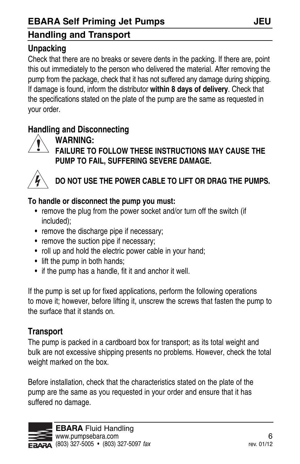#### **Ebara Self Priming Jet Pumps JEU**

#### **Handling and Transport**

#### **Unpacking**

Check that there are no breaks or severe dents in the packing. If there are, point this out immediately to the person who delivered the material. after removing the pump from the package, check that it has not suffered any damage during shipping. If damage is found, inform the distributor **within 8 days of delivery**. Check that the specifications stated on the plate of the pump are the same as requested in your order.

#### **Handling and Disconnecting**



#### **WARNING:**

**FAILURE TO FOLLOW THESE INSTRUCTIONS MAY CAUSE THE PUMP TO FAIL, SUFFERING SEVERE DAMAGE.** 



#### **DO NOT USE THE POWER CABLE TO LIFT OR DRAG THE PUMPS.**

#### **To handle or disconnect the pump you must:**

- remove the plug from the power socket and/or turn off the switch (if included);
- remove the discharge pipe if necessary;
- remove the suction pipe if necessary;
- roll up and hold the electric power cable in your hand;
- lift the pump in both hands;
- if the pump has a handle, fit it and anchor it well.

If the pump is set up for fixed applications, perform the following operations to move it; however, before lifting it, unscrew the screws that fasten the pump to the surface that it stands on.

#### **Transport**

The pump is packed in a cardboard box for transport; as its total weight and bulk are not excessive shipping presents no problems. However, check the total weight marked on the box.

before installation, check that the characteristics stated on the plate of the pump are the same as you requested in your order and ensure that it has suffered no damage.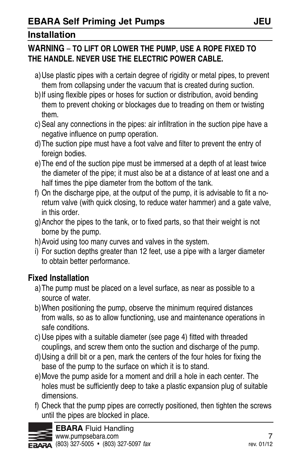#### **WARNING** – **TO LIFT OR LOWER THE PUMP, USE A ROPE FIXED TO THE HANDLE. NEVER USE THE ELECTRIC POWER CABLE.**

- a)Use plastic pipes with a certain degree of rigidity or metal pipes, to prevent them from collapsing under the vacuum that is created during suction.
- b)If using flexible pipes or hoses for suction or distribution, avoid bending them to prevent choking or blockages due to treading on them or twisting them.
- c) Seal any connections in the pipes: air infiltration in the suction pipe have a negative influence on pump operation.
- d)The suction pipe must have a foot valve and filter to prevent the entry of foreign bodies.
- e)The end of the suction pipe must be immersed at a depth of at least twice the diameter of the pipe; it must also be at a distance of at least one and a half times the pipe diameter from the bottom of the tank.
- f) On the discharge pipe, at the output of the pump, it is advisable to fit a noreturn valve (with quick closing, to reduce water hammer) and a gate valve, in this order.
- g) Anchor the pipes to the tank, or to fixed parts, so that their weight is not borne by the pump.
- h) Avoid using too many curves and valves in the system.
- i) For suction depths greater than 12 feet, use a pipe with a larger diameter to obtain better performance.

#### **Fixed Installation**

- a)The pump must be placed on a level surface, as near as possible to a source of water.
- b)When positioning the pump, observe the minimum required distances from walls, so as to allow functioning, use and maintenance operations in safe conditions.
- c) Use pipes with a suitable diameter (see page 4) fitted with threaded couplings, and screw them onto the suction and discharge of the pump.
- d)Using a drill bit or a pen, mark the centers of the four holes for fixing the base of the pump to the surface on which it is to stand.
- e)Move the pump aside for a moment and drill a hole in each center. The holes must be sufficiently deep to take a plastic expansion plug of suitable dimensions.
- f) Check that the pump pipes are correctly positioned, then tighten the screws until the pipes are blocked in place.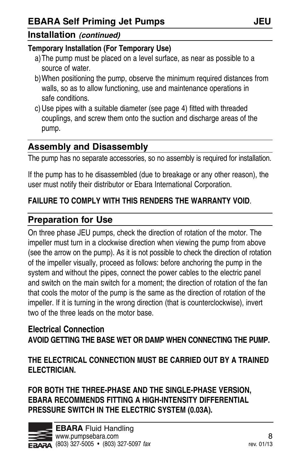#### **Installation (continued)**

#### **Temporary Installation (For Temporary Use)**

- a)The pump must be placed on a level surface, as near as possible to a source of water.
- b)When positioning the pump, observe the minimum required distances from walls, so as to allow functioning, use and maintenance operations in safe conditions.
- c) Use pipes with a suitable diameter (see page 4) fitted with threaded couplings, and screw them onto the suction and discharge areas of the pump.

#### **assembly and Disassembly**

The pump has no separate accessories, so no assembly is required for installation.

If the pump has to he disassembled (due to breakage or any other reason), the user must notify their distributor or Ebara International Corporation.

#### **FAILURE TO COMPLY WITH THIS RENDERS THE WARRANTY VOID**.

#### **Preparation for Use**

On three phase JEU pumps, check the direction of rotation of the motor. The impeller must turn in a clockwise direction when viewing the pump from above (see the arrow on the pump). As it is not possible to check the direction of rotation of the impeller visually, proceed as follows: before anchoring the pump in the system and without the pipes, connect the power cables to the electric panel and switch on the main switch for a moment; the direction of rotation of the fan that cools the motor of the pump is the same as the direction of rotation of the impeller. If it is turning in the wrong direction (that is counterclockwise), invert two of the three leads on the motor base.

#### **Electrical Connection AVOID GETTING THE BASE WET OR DAMP WHEN CONNECTING THE PUMP.**

#### **THE ELECTRICAL CONNECTION MUST BE CARRIED OUT BY A TRAINED ELECTRICIAN.**

**FOR BOTH THE THREE-PHASE AND THE SINGLE-PHASE VERSION, EBARA RECOMMENDS FITTING A HIGH-INTENSITY DIFFERENTIAL PRESSURE SWITCH IN THE ELECTRIC SYSTEM (0.03A).**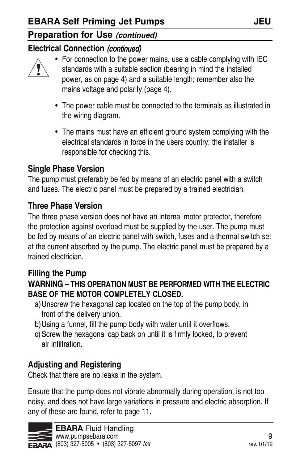#### **Preparation for Use (continued)**

#### **Electrical Connection (continued)**



- For connection to the power mains, use a cable complying with IEC standards with a suitable section (bearing in mind the installed power, as on page 4) and a suitable length; remember also the mains voltage and polarity (page 4).
- The power cable must be connected to the terminals as illustrated in the wiring diagram.
- The mains must have an efficient ground system complying with the electrical standards in force in the users country; the installer is responsible for checking this.

#### **Single Phase Version**

The pump must preferably be fed by means of an electric panel with a switch and fuses. The electric panel must be prepared by a trained electrician.

#### **Three Phase Version**

The three phase version does not have an internal motor protector, therefore the protection against overload must be supplied by the user. The pump must be fed by means of an electric panel with switch, fuses and a thermal switch set at the current absorbed by the pump. The electric panel must be prepared by a trained electrician.

#### **Filling the Pump**

#### **WARNING – THIS OPERATION MUST BE PERFORMED WITH THE ELECTRIC BASE OF THE MOTOR COMPLETELY CLOSED.**

- a)Unscrew the hexagonal cap located on the top of the pump body, in front of the delivery union.
- b)Using a funnel, fill the pump body with water until it overflows.
- c) Screw the hexagonal cap back on until it is firmly locked, to prevent air infiltration.

#### **Adjusting and Registering**

Check that there are no leaks in the system.

Ensure that the pump does not vibrate abnormally during operation, is not too noisy, and does not have large variations in pressure and electric absorption. If any of these are found, refer to page 11.

**Ebara** Fluid Handling www.pumpsebara.com 9 (803) 327-5005 • (803) 327-5097 fax rev. 01/12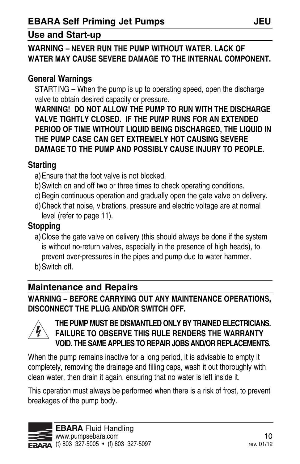#### **Use and Start-up**

#### **WARNING – NEVER RUN THE PUMP WITHOUT WATER. LACK OF WATER MAY CAUSE SEVERE DAMAGE TO THE INTERNAL COMPONENT.**

#### **General Warnings**

STARTING – When the pump is up to operating speed, open the discharge valve to obtain desired capacity or pressure.

**WARNING! DO NOT ALLOW THE PUMP TO RUN WITH THE DISCHARGE VALVE TIGHTLY CLOSED. IF THE PUMP RUNS FOR AN EXTENDED PERIOD OF TIME WITHOUT LIQUID BEING DISCHARGED, THE LIQUID IN THE PUMP CASE CAN GET EXTREMELY HOT CAUSING SEVERE DAMAGE TO THE PUMP AND POSSIBLY CAUSE INJURY TO PEOPLE.**

#### **Starting**

- a)Ensure that the foot valve is not blocked.
- b)Switch on and off two or three times to check operating conditions.
- c) begin continuous operation and gradually open the gate valve on delivery.
- d)Check that noise, vibrations, pressure and electric voltage are at normal level (refer to page 11).

#### **Stopping**

- a)Close the gate valve on delivery (this should always be done if the system is without no-return valves, especially in the presence of high heads), to prevent over-pressures in the pipes and pump due to water hammer.
- b)Switch off.

#### **Maintenance and Repairs**

**WARNING – BEFORE CARRYING OUT ANY MAINTENANCE OPERATIONS, DISCONNECT THE PLUG AND/OR SWITCH OFF.** 



#### **THE PUMP MUST BE DISMANTLED ONLY BY TRAINED ELECTRICIANS. FAILURE TO OBSERVE THIS RULE RENDERS THE WARRANTY VOID. THE SAME APPLIES TO REPAIR JOBS AND/OR REPLACEMENTS.**

When the pump remains inactive for a long period, it is advisable to empty it completely, removing the drainage and filling caps, wash it out thoroughly with clean water, then drain it again, ensuring that no water is left inside it.

This operation must always be performed when there is a risk of frost, to prevent breakages of the pump body.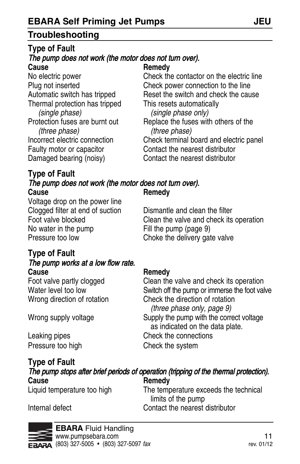#### **Troubleshooting**

#### **Type of Fault** The pump does not work (the motor does not turn over). **Cause Remedy**

Thermal protection has tripped This resets automatically (single phase) (single phase only) (three phase) (three phase) Faulty motor or capacitor **Contact the nearest distributor** Damaged bearing (noisy) Contact the nearest distributor

#### **Type of Fault** The pump does not work (the motor does not turn over). **Cause Remedy**

Voltage drop on the power line Clogged filter at end of suction Dismantle and clean the filter<br>
Foot valve blocked Clean the valve and check its Pressure too low Choke the delivery gate valve

#### **Type of Fault** The pump works at a low flow rate. **Cause <b>Remedy Remedy**

No electric power Check the contactor on the electric line Plug not inserted Check power connection to the line Automatic switch has tripped Reset the switch and check the cause

Protection fuses are burnt out Replace the fuses with others of the Incorrect electric connection Check terminal board and electric panel

Foot valve blocked Clean the valve and check its operation<br>No water in the pump Fill the pump (page 9)

Foot valve partly clogged Clean the valve and check its operation Water level too low Switch off the pump or immerse the foot valve Wrong direction of rotation Check the direction of rotation (three phase only, page 9) Wrong supply voltage Supply the pump with the correct voltage as indicated on the data plate. Leaking pipes **Check** the connections Pressure too high Check the system

**Type of Fault** The pump stops after brief periods of operation (tripping of the thermal protection). **Cause Remedy**<br> **Cause Remedy**<br> **Liquid temperature too high Remedy** The temperature exceeds the technical

limits of the pump

Internal defect Contact the nearest distributor